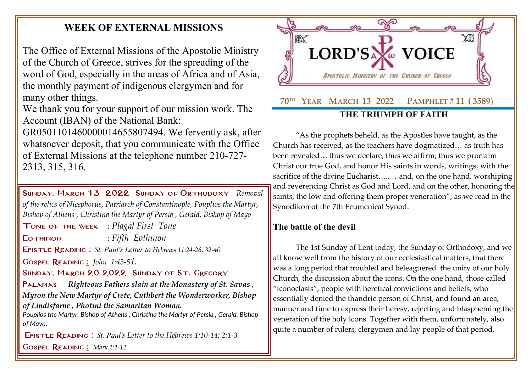## **WEEK OF EXTERNAL MISSIONS**

The Office of External Missions of the Apostolic Ministry of the Church of Greece, strives for the spreading of the word of God, especially in the areas of Africa and of Asia, the monthly payment of indigenous clergymen and for many other things.

We thank you for your support of our mission work. The Account (IBAN) of the National Bank:

GR0501101460000014655807494. We fervently ask, after whatsoever deposit, that you communicate with the Office of External Missions at the telephone number 210-727- 2313, 315, 316.

Sunday, March 13 2022 Sunday [of Orthodoxy](http://www.goarch.org/chapel/saints?contentid=1016&PCode=MEATS&D=S&date=02/27/2022) *[Removal](http://www.goarch.org/chapel/saints?contentid=458)  [of the relics of Nicephorus, Patriarch of Constantinople,](http://www.goarch.org/chapel/saints?contentid=458) Pouplios the Martyr, Bishop of Athens , Christina the Martyr of Persia , Gerald, Bishop of Mayo* Tone of the week : *Plagal First Tone* Eothinon : *Fifth Eothinon* Epistle Reading : *St. Paul's Letter to [Hebrews 11:24-26, 32-40](http://www.goarch.org/chapel/lectionary?type=E&code=138&event=1027&date=03/13/2022)* Gospel Reading **[:](http://www.goarch.org/chapel/lectionary?type=G&code=362&event=218)** *John [1:43-5](http://www.goarch.org/chapel/lectionary?type=G&code=402&event=408)[1.](http://www.goarch.org/chapel/lectionary?type=G&code=402&event=408)* SUNDAY, MARCH 20 2022 SUNDAY OF ST. GREGORY [Palamas](http://www.goarch.org/chapel/saints?contentid=1016&PCode=MEATS&D=S&date=02/27/2022) *[Righteous Fathers slain at the Monastery of St. Savas](http://www.goarch.org/chapel/saints?contentid=466) , Myron the New Martyr of Crete, [Cuthbert the Wonderworker, Bishop](http://www.goarch.org/chapel/saints?contentid=2366)  [of Lindisfarne](http://www.goarch.org/chapel/saints?contentid=2366) , [Photini the Samaritan Woman.](http://www.goarch.org/chapel/saints?contentid=2030) Pouplios the Martyr, Bishop of Athens , Christina the Martyr of Persia , Gerald, Bishop of Mayo.* Epistle Reading : *St. Paul's Letter to the Hebrews 1:10-14; 2:1-3*

Gospel Reading **[:](http://www.goarch.org/chapel/lectionary?type=G&code=362&event=218)** *[Mark 2:1-12](http://www.goarch.org/chapel/lectionary?type=G&code=295&event=1055)*



"As the prophets beheld, as the Apostles have taught, as the Church has received, as the teachers have dogmatized… as truth has been revealed… thus we declare; thus we affirm; thus we proclaim Christ our true God, and honor His saints in words, writings, with the sacrifice of the divine Eucharist...., ... and, on the one hand, worshiping and reverencing Christ as God and Lord, and on the other, honoring the saints, the low and offering them proper veneration", as we read in the Synodikon of the 7th Ecumenical Synod.

## **The battle of the devil**

The 1st Sunday of Lent today, the Sunday of Orthodoxy, and we all know well from the history of our ecclesiastical matters, that there was a long period that troubled and beleaguered the unity of our holy Church, the discussion about the icons. On the one hand, those called "iconoclasts", people with heretical convictions and beliefs, who essentially denied the thandric person of Christ, and found an area, manner and time to express their heresy, rejecting and blaspheming the veneration of the holy icons. Together with them, unfortunately, also quite a number of rulers, clergymen and lay people of that period.